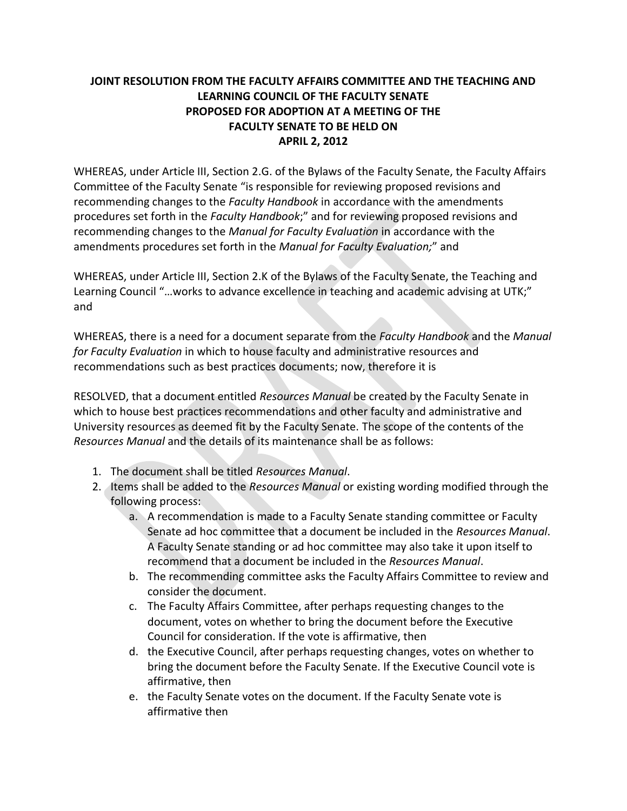## **JOINT RESOLUTION FROM THE FACULTY AFFAIRS COMMITTEE AND THE TEACHING AND LEARNING COUNCIL OF THE FACULTY SENATE PROPOSED FOR ADOPTION AT A MEETING OF THE FACULTY SENATE TO BE HELD ON APRIL 2, 2012**

WHEREAS, under Article III, Section 2.G. of the Bylaws of the Faculty Senate, the Faculty Affairs Committee of the Faculty Senate "is responsible for reviewing proposed revisions and recommending changes to the *Faculty Handbook* in accordance with the amendments procedures set forth in the *Faculty Handbook*;" and for reviewing proposed revisions and recommending changes to the *Manual for Faculty Evaluation* in accordance with the amendments procedures set forth in the *Manual for Faculty Evaluation;*" and

WHEREAS, under Article III, Section 2.K of the Bylaws of the Faculty Senate, the Teaching and Learning Council "…works to advance excellence in teaching and academic advising at UTK;" and

WHEREAS, there is a need for a document separate from the *Faculty Handbook* and the *Manual for Faculty Evaluation* in which to house faculty and administrative resources and recommendations such as best practices documents; now, therefore it is

RESOLVED, that a document entitled *Resources Manual* be created by the Faculty Senate in which to house best practices recommendations and other faculty and administrative and University resources as deemed fit by the Faculty Senate. The scope of the contents of the *Resources Manual* and the details of its maintenance shall be as follows:

- 1. The document shall be titled *Resources Manual*.
- 2. Items shall be added to the *Resources Manual* or existing wording modified through the following process:
	- a. A recommendation is made to a Faculty Senate standing committee or Faculty Senate ad hoc committee that a document be included in the *Resources Manual*. A Faculty Senate standing or ad hoc committee may also take it upon itself to recommend that a document be included in the *Resources Manual*.
	- b. The recommending committee asks the Faculty Affairs Committee to review and consider the document.
	- c. The Faculty Affairs Committee, after perhaps requesting changes to the document, votes on whether to bring the document before the Executive Council for consideration. If the vote is affirmative, then
	- d. the Executive Council, after perhaps requesting changes, votes on whether to bring the document before the Faculty Senate. If the Executive Council vote is affirmative, then
	- e. the Faculty Senate votes on the document. If the Faculty Senate vote is affirmative then